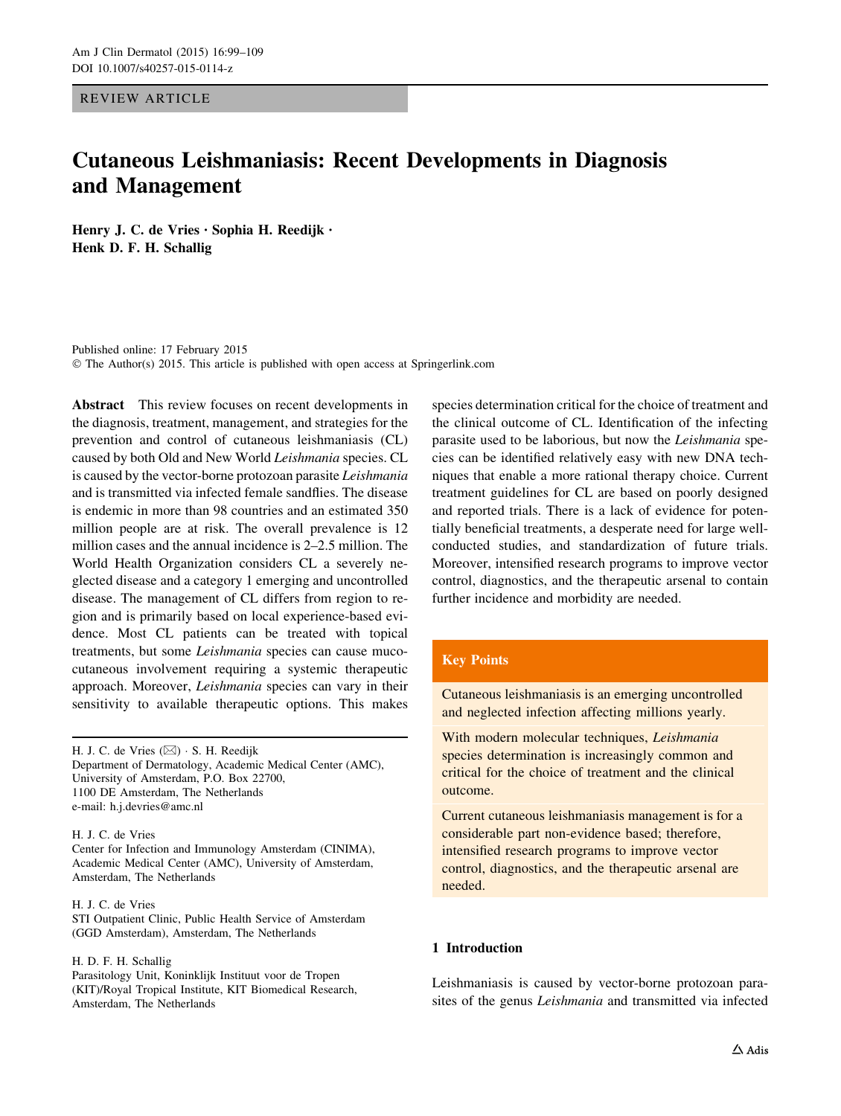REVIEW ARTICLE

# Cutaneous Leishmaniasis: Recent Developments in Diagnosis and Management

Henry J. C. de Vries • Sophia H. Reedijk • Henk D. F. H. Schallig

Published online: 17 February 2015 © The Author(s) 2015. This article is published with open access at Springerlink.com

Abstract This review focuses on recent developments in the diagnosis, treatment, management, and strategies for the prevention and control of cutaneous leishmaniasis (CL) caused by both Old and New World Leishmania species. CL is caused by the vector-borne protozoan parasite Leishmania and is transmitted via infected female sandflies. The disease is endemic in more than 98 countries and an estimated 350 million people are at risk. The overall prevalence is 12 million cases and the annual incidence is 2–2.5 million. The World Health Organization considers CL a severely neglected disease and a category 1 emerging and uncontrolled disease. The management of CL differs from region to region and is primarily based on local experience-based evidence. Most CL patients can be treated with topical treatments, but some Leishmania species can cause mucocutaneous involvement requiring a systemic therapeutic approach. Moreover, Leishmania species can vary in their sensitivity to available therapeutic options. This makes

H. J. C. de Vries (⊠) · S. H. Reedijk Department of Dermatology, Academic Medical Center (AMC), University of Amsterdam, P.O. Box 22700, 1100 DE Amsterdam, The Netherlands e-mail: h.j.devries@amc.nl

H. J. C. de Vries

Center for Infection and Immunology Amsterdam (CINIMA), Academic Medical Center (AMC), University of Amsterdam, Amsterdam, The Netherlands

H. J. C. de Vries

STI Outpatient Clinic, Public Health Service of Amsterdam (GGD Amsterdam), Amsterdam, The Netherlands

H. D. F. H. Schallig Parasitology Unit, Koninklijk Instituut voor de Tropen (KIT)/Royal Tropical Institute, KIT Biomedical Research, Amsterdam, The Netherlands

species determination critical for the choice of treatment and the clinical outcome of CL. Identification of the infecting parasite used to be laborious, but now the Leishmania species can be identified relatively easy with new DNA techniques that enable a more rational therapy choice. Current treatment guidelines for CL are based on poorly designed and reported trials. There is a lack of evidence for potentially beneficial treatments, a desperate need for large wellconducted studies, and standardization of future trials. Moreover, intensified research programs to improve vector control, diagnostics, and the therapeutic arsenal to contain further incidence and morbidity are needed.

# Key Points

Cutaneous leishmaniasis is an emerging uncontrolled and neglected infection affecting millions yearly.

With modern molecular techniques, Leishmania species determination is increasingly common and critical for the choice of treatment and the clinical outcome.

Current cutaneous leishmaniasis management is for a considerable part non-evidence based; therefore, intensified research programs to improve vector control, diagnostics, and the therapeutic arsenal are needed.

# 1 Introduction

Leishmaniasis is caused by vector-borne protozoan parasites of the genus Leishmania and transmitted via infected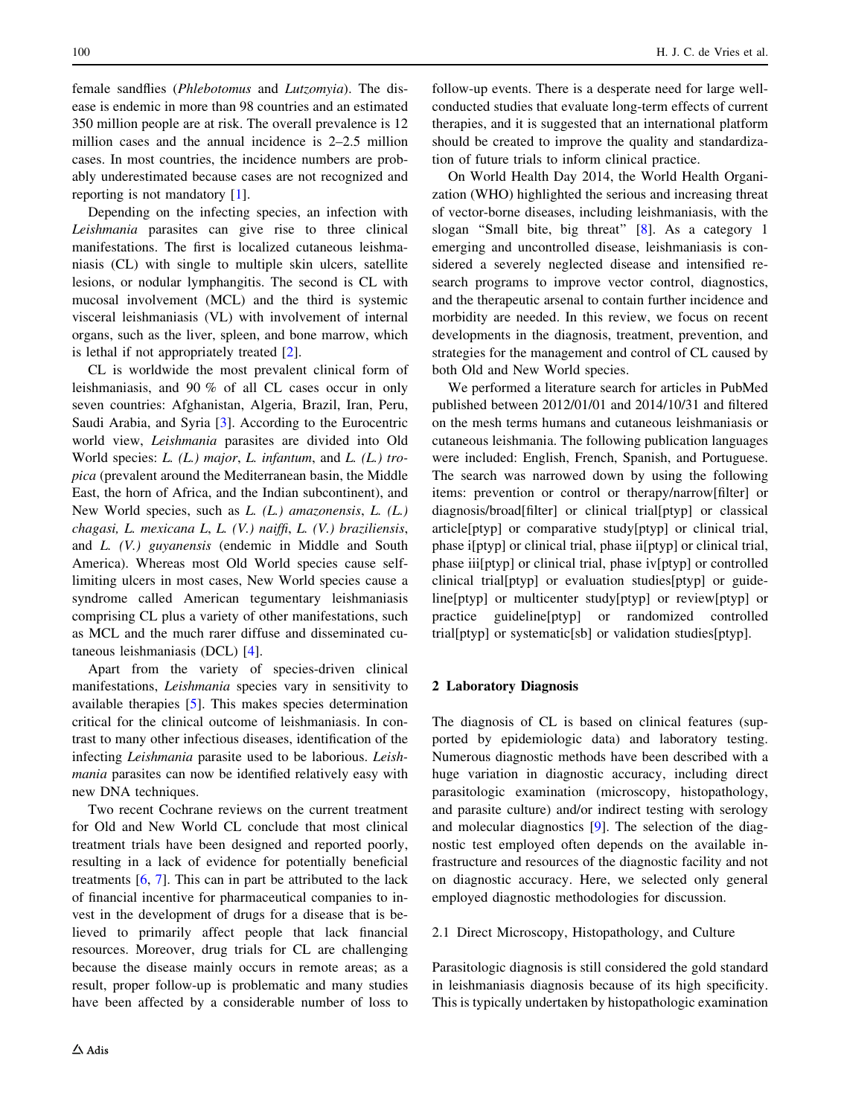female sandflies (Phlebotomus and Lutzomyia). The disease is endemic in more than 98 countries and an estimated 350 million people are at risk. The overall prevalence is 12 million cases and the annual incidence is 2–2.5 million cases. In most countries, the incidence numbers are probably underestimated because cases are not recognized and reporting is not mandatory [[1\]](#page-7-0).

Depending on the infecting species, an infection with Leishmania parasites can give rise to three clinical manifestations. The first is localized cutaneous leishmaniasis (CL) with single to multiple skin ulcers, satellite lesions, or nodular lymphangitis. The second is CL with mucosal involvement (MCL) and the third is systemic visceral leishmaniasis (VL) with involvement of internal organs, such as the liver, spleen, and bone marrow, which is lethal if not appropriately treated [[2](#page-7-0)].

CL is worldwide the most prevalent clinical form of leishmaniasis, and 90 % of all CL cases occur in only seven countries: Afghanistan, Algeria, Brazil, Iran, Peru, Saudi Arabia, and Syria [[3\]](#page-7-0). According to the Eurocentric world view, Leishmania parasites are divided into Old World species: L. (L.) major, L. infantum, and L. (L.) tropica (prevalent around the Mediterranean basin, the Middle East, the horn of Africa, and the Indian subcontinent), and New World species, such as L. (L.) amazonensis, L. (L.) chagasi, L. mexicana L, L. (V.) naiffi, L. (V.) braziliensis, and L. (V.) guyanensis (endemic in Middle and South America). Whereas most Old World species cause selflimiting ulcers in most cases, New World species cause a syndrome called American tegumentary leishmaniasis comprising CL plus a variety of other manifestations, such as MCL and the much rarer diffuse and disseminated cutaneous leishmaniasis (DCL) [\[4](#page-7-0)].

Apart from the variety of species-driven clinical manifestations, Leishmania species vary in sensitivity to available therapies [[5\]](#page-7-0). This makes species determination critical for the clinical outcome of leishmaniasis. In contrast to many other infectious diseases, identification of the infecting Leishmania parasite used to be laborious. Leishmania parasites can now be identified relatively easy with new DNA techniques.

Two recent Cochrane reviews on the current treatment for Old and New World CL conclude that most clinical treatment trials have been designed and reported poorly, resulting in a lack of evidence for potentially beneficial treatments  $[6, 7]$  $[6, 7]$  $[6, 7]$ . This can in part be attributed to the lack of financial incentive for pharmaceutical companies to invest in the development of drugs for a disease that is believed to primarily affect people that lack financial resources. Moreover, drug trials for CL are challenging because the disease mainly occurs in remote areas; as a result, proper follow-up is problematic and many studies have been affected by a considerable number of loss to follow-up events. There is a desperate need for large wellconducted studies that evaluate long-term effects of current therapies, and it is suggested that an international platform should be created to improve the quality and standardization of future trials to inform clinical practice.

On World Health Day 2014, the World Health Organization (WHO) highlighted the serious and increasing threat of vector-borne diseases, including leishmaniasis, with the slogan ''Small bite, big threat'' [[8\]](#page-7-0). As a category 1 emerging and uncontrolled disease, leishmaniasis is considered a severely neglected disease and intensified research programs to improve vector control, diagnostics, and the therapeutic arsenal to contain further incidence and morbidity are needed. In this review, we focus on recent developments in the diagnosis, treatment, prevention, and strategies for the management and control of CL caused by both Old and New World species.

We performed a literature search for articles in PubMed published between 2012/01/01 and 2014/10/31 and filtered on the mesh terms humans and cutaneous leishmaniasis or cutaneous leishmania. The following publication languages were included: English, French, Spanish, and Portuguese. The search was narrowed down by using the following items: prevention or control or therapy/narrow[filter] or diagnosis/broad[filter] or clinical trial[ptyp] or classical article[ptyp] or comparative study[ptyp] or clinical trial, phase i[ptyp] or clinical trial, phase ii[ptyp] or clinical trial, phase iii[ptyp] or clinical trial, phase iv[ptyp] or controlled clinical trial[ptyp] or evaluation studies[ptyp] or guideline[ptyp] or multicenter study[ptyp] or review[ptyp] or practice guideline[ptyp] or randomized controlled trial[ptyp] or systematic[sb] or validation studies[ptyp].

#### 2 Laboratory Diagnosis

The diagnosis of CL is based on clinical features (supported by epidemiologic data) and laboratory testing. Numerous diagnostic methods have been described with a huge variation in diagnostic accuracy, including direct parasitologic examination (microscopy, histopathology, and parasite culture) and/or indirect testing with serology and molecular diagnostics [\[9](#page-7-0)]. The selection of the diagnostic test employed often depends on the available infrastructure and resources of the diagnostic facility and not on diagnostic accuracy. Here, we selected only general employed diagnostic methodologies for discussion.

2.1 Direct Microscopy, Histopathology, and Culture

Parasitologic diagnosis is still considered the gold standard in leishmaniasis diagnosis because of its high specificity. This is typically undertaken by histopathologic examination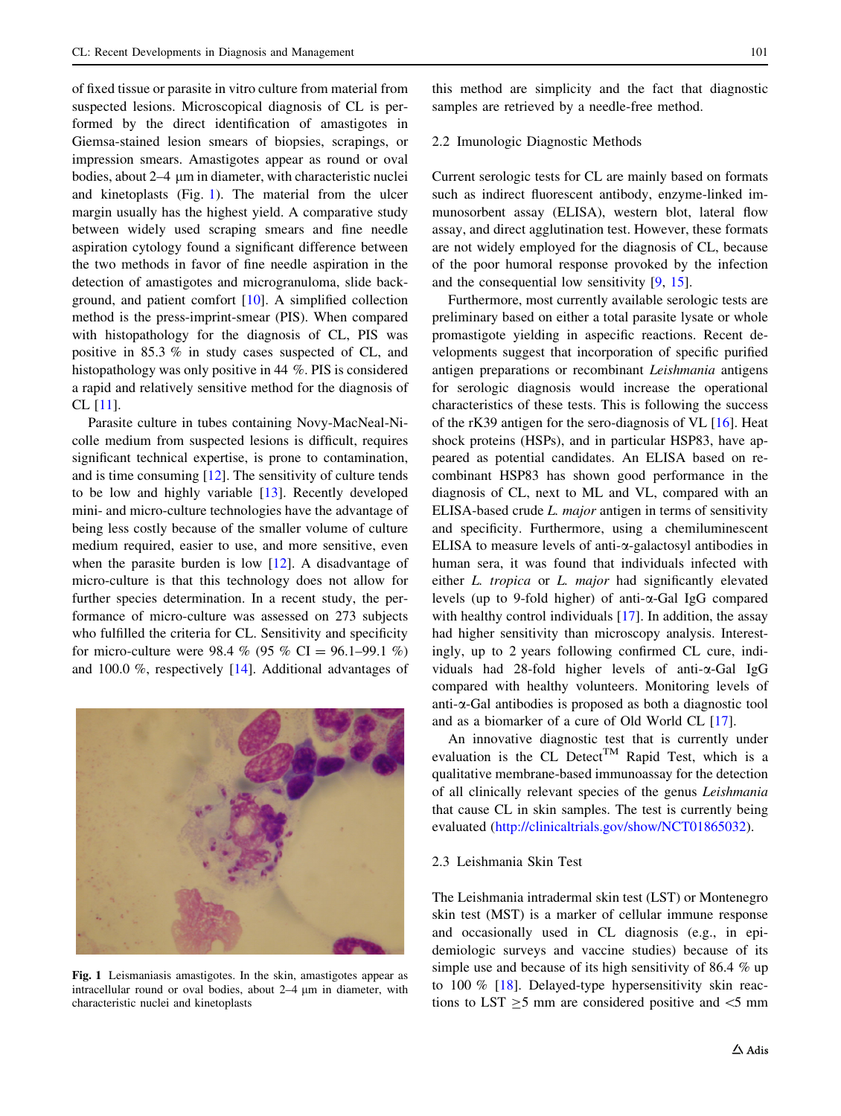of fixed tissue or parasite in vitro culture from material from suspected lesions. Microscopical diagnosis of CL is performed by the direct identification of amastigotes in Giemsa-stained lesion smears of biopsies, scrapings, or impression smears. Amastigotes appear as round or oval bodies, about 2–4  $\mu$ m in diameter, with characteristic nuclei and kinetoplasts (Fig. 1). The material from the ulcer margin usually has the highest yield. A comparative study between widely used scraping smears and fine needle aspiration cytology found a significant difference between the two methods in favor of fine needle aspiration in the detection of amastigotes and microgranuloma, slide background, and patient comfort [[10\]](#page-7-0). A simplified collection method is the press-imprint-smear (PIS). When compared with histopathology for the diagnosis of CL, PIS was positive in 85.3 % in study cases suspected of CL, and histopathology was only positive in 44 %. PIS is considered a rapid and relatively sensitive method for the diagnosis of CL [\[11](#page-7-0)].

Parasite culture in tubes containing Novy-MacNeal-Nicolle medium from suspected lesions is difficult, requires significant technical expertise, is prone to contamination, and is time consuming [\[12\]](#page-8-0). The sensitivity of culture tends to be low and highly variable [\[13](#page-8-0)]. Recently developed mini- and micro-culture technologies have the advantage of being less costly because of the smaller volume of culture medium required, easier to use, and more sensitive, even when the parasite burden is low [\[12](#page-8-0)]. A disadvantage of micro-culture is that this technology does not allow for further species determination. In a recent study, the performance of micro-culture was assessed on 273 subjects who fulfilled the criteria for CL. Sensitivity and specificity for micro-culture were 98.4 % (95 % CI = 96.1–99.1 %) and 100.0 %, respectively [[14\]](#page-8-0). Additional advantages of



Fig. 1 Leismaniasis amastigotes. In the skin, amastigotes appear as intracellular round or oval bodies, about 2–4  $\mu$ m in diameter, with characteristic nuclei and kinetoplasts

this method are simplicity and the fact that diagnostic samples are retrieved by a needle-free method.

#### 2.2 Imunologic Diagnostic Methods

Current serologic tests for CL are mainly based on formats such as indirect fluorescent antibody, enzyme-linked immunosorbent assay (ELISA), western blot, lateral flow assay, and direct agglutination test. However, these formats are not widely employed for the diagnosis of CL, because of the poor humoral response provoked by the infection and the consequential low sensitivity [\[9](#page-7-0), [15\]](#page-8-0).

Furthermore, most currently available serologic tests are preliminary based on either a total parasite lysate or whole promastigote yielding in aspecific reactions. Recent developments suggest that incorporation of specific purified antigen preparations or recombinant Leishmania antigens for serologic diagnosis would increase the operational characteristics of these tests. This is following the success of the rK39 antigen for the sero-diagnosis of VL [[16\]](#page-8-0). Heat shock proteins (HSPs), and in particular HSP83, have appeared as potential candidates. An ELISA based on recombinant HSP83 has shown good performance in the diagnosis of CL, next to ML and VL, compared with an ELISA-based crude L. major antigen in terms of sensitivity and specificity. Furthermore, using a chemiluminescent ELISA to measure levels of anti-a-galactosyl antibodies in human sera, it was found that individuals infected with either L. tropica or L. major had significantly elevated levels (up to 9-fold higher) of anti-a-Gal IgG compared with healthy control individuals [\[17](#page-8-0)]. In addition, the assay had higher sensitivity than microscopy analysis. Interestingly, up to 2 years following confirmed CL cure, individuals had 28-fold higher levels of anti-a-Gal IgG compared with healthy volunteers. Monitoring levels of anti-a-Gal antibodies is proposed as both a diagnostic tool and as a biomarker of a cure of Old World CL [\[17](#page-8-0)].

An innovative diagnostic test that is currently under evaluation is the CL Detect<sup>TM</sup> Rapid Test, which is a qualitative membrane-based immunoassay for the detection of all clinically relevant species of the genus Leishmania that cause CL in skin samples. The test is currently being evaluated ([http://clinicaltrials.gov/show/NCT01865032\)](http://clinicaltrials.gov/show/NCT01865032).

## 2.3 Leishmania Skin Test

The Leishmania intradermal skin test (LST) or Montenegro skin test (MST) is a marker of cellular immune response and occasionally used in CL diagnosis (e.g., in epidemiologic surveys and vaccine studies) because of its simple use and because of its high sensitivity of 86.4 % up to 100 % [[18\]](#page-8-0). Delayed-type hypersensitivity skin reactions to LST  $\geq$ 5 mm are considered positive and  $\lt$ 5 mm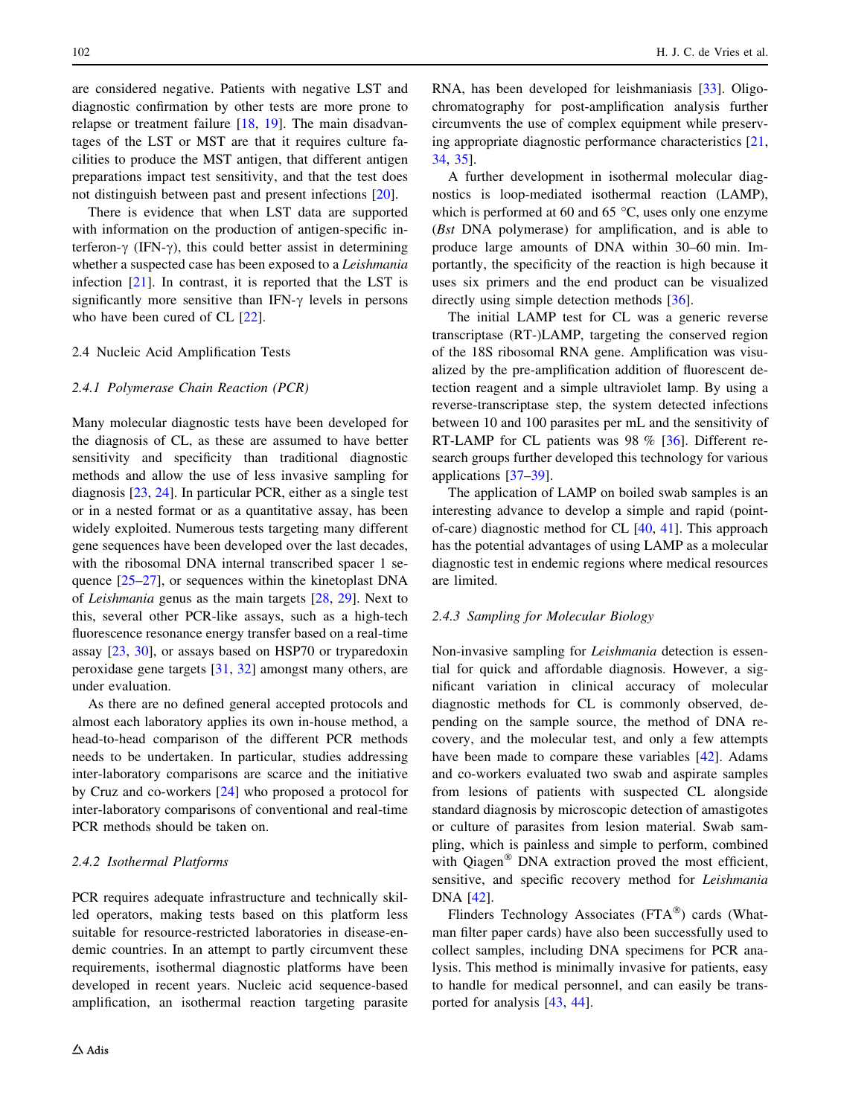are considered negative. Patients with negative LST and diagnostic confirmation by other tests are more prone to relapse or treatment failure [[18,](#page-8-0) [19](#page-8-0)]. The main disadvantages of the LST or MST are that it requires culture facilities to produce the MST antigen, that different antigen preparations impact test sensitivity, and that the test does not distinguish between past and present infections [[20\]](#page-8-0).

There is evidence that when LST data are supported with information on the production of antigen-specific interferon- $\gamma$  (IFN- $\gamma$ ), this could better assist in determining whether a suspected case has been exposed to a Leishmania infection [\[21](#page-8-0)]. In contrast, it is reported that the LST is significantly more sensitive than IFN- $\gamma$  levels in persons who have been cured of CL [[22\]](#page-8-0).

## 2.4 Nucleic Acid Amplification Tests

## 2.4.1 Polymerase Chain Reaction (PCR)

Many molecular diagnostic tests have been developed for the diagnosis of CL, as these are assumed to have better sensitivity and specificity than traditional diagnostic methods and allow the use of less invasive sampling for diagnosis [[23,](#page-8-0) [24\]](#page-8-0). In particular PCR, either as a single test or in a nested format or as a quantitative assay, has been widely exploited. Numerous tests targeting many different gene sequences have been developed over the last decades, with the ribosomal DNA internal transcribed spacer 1 sequence [\[25–27](#page-8-0)], or sequences within the kinetoplast DNA of Leishmania genus as the main targets [\[28](#page-8-0), [29](#page-8-0)]. Next to this, several other PCR-like assays, such as a high-tech fluorescence resonance energy transfer based on a real-time assay [\[23](#page-8-0), [30](#page-8-0)], or assays based on HSP70 or tryparedoxin peroxidase gene targets [[31,](#page-8-0) [32](#page-8-0)] amongst many others, are under evaluation.

As there are no defined general accepted protocols and almost each laboratory applies its own in-house method, a head-to-head comparison of the different PCR methods needs to be undertaken. In particular, studies addressing inter-laboratory comparisons are scarce and the initiative by Cruz and co-workers [\[24](#page-8-0)] who proposed a protocol for inter-laboratory comparisons of conventional and real-time PCR methods should be taken on.

## 2.4.2 Isothermal Platforms

PCR requires adequate infrastructure and technically skilled operators, making tests based on this platform less suitable for resource-restricted laboratories in disease-endemic countries. In an attempt to partly circumvent these requirements, isothermal diagnostic platforms have been developed in recent years. Nucleic acid sequence-based amplification, an isothermal reaction targeting parasite RNA, has been developed for leishmaniasis [\[33\]](#page-8-0). Oligochromatography for post-amplification analysis further circumvents the use of complex equipment while preserving appropriate diagnostic performance characteristics [[21,](#page-8-0) [34](#page-8-0), [35\]](#page-8-0).

A further development in isothermal molecular diagnostics is loop-mediated isothermal reaction (LAMP), which is performed at 60 and 65 $\degree$ C, uses only one enzyme (Bst DNA polymerase) for amplification, and is able to produce large amounts of DNA within 30–60 min. Importantly, the specificity of the reaction is high because it uses six primers and the end product can be visualized directly using simple detection methods [[36\]](#page-8-0).

The initial LAMP test for CL was a generic reverse transcriptase (RT-)LAMP, targeting the conserved region of the 18S ribosomal RNA gene. Amplification was visualized by the pre-amplification addition of fluorescent detection reagent and a simple ultraviolet lamp. By using a reverse-transcriptase step, the system detected infections between 10 and 100 parasites per mL and the sensitivity of RT-LAMP for CL patients was 98  $\%$  [[36\]](#page-8-0). Different research groups further developed this technology for various applications [\[37–39](#page-8-0)].

The application of LAMP on boiled swab samples is an interesting advance to develop a simple and rapid (pointof-care) diagnostic method for CL [\[40](#page-9-0), [41\]](#page-9-0). This approach has the potential advantages of using LAMP as a molecular diagnostic test in endemic regions where medical resources are limited.

### 2.4.3 Sampling for Molecular Biology

Non-invasive sampling for Leishmania detection is essential for quick and affordable diagnosis. However, a significant variation in clinical accuracy of molecular diagnostic methods for CL is commonly observed, depending on the sample source, the method of DNA recovery, and the molecular test, and only a few attempts have been made to compare these variables [\[42](#page-9-0)]. Adams and co-workers evaluated two swab and aspirate samples from lesions of patients with suspected CL alongside standard diagnosis by microscopic detection of amastigotes or culture of parasites from lesion material. Swab sampling, which is painless and simple to perform, combined with Qiagen $^{\circledR}$  DNA extraction proved the most efficient, sensitive, and specific recovery method for Leishmania DNA [\[42](#page-9-0)].

Flinders Technology Associates ( $fTA^{\circledR}$ ) cards (Whatman filter paper cards) have also been successfully used to collect samples, including DNA specimens for PCR analysis. This method is minimally invasive for patients, easy to handle for medical personnel, and can easily be transported for analysis [[43,](#page-9-0) [44\]](#page-9-0).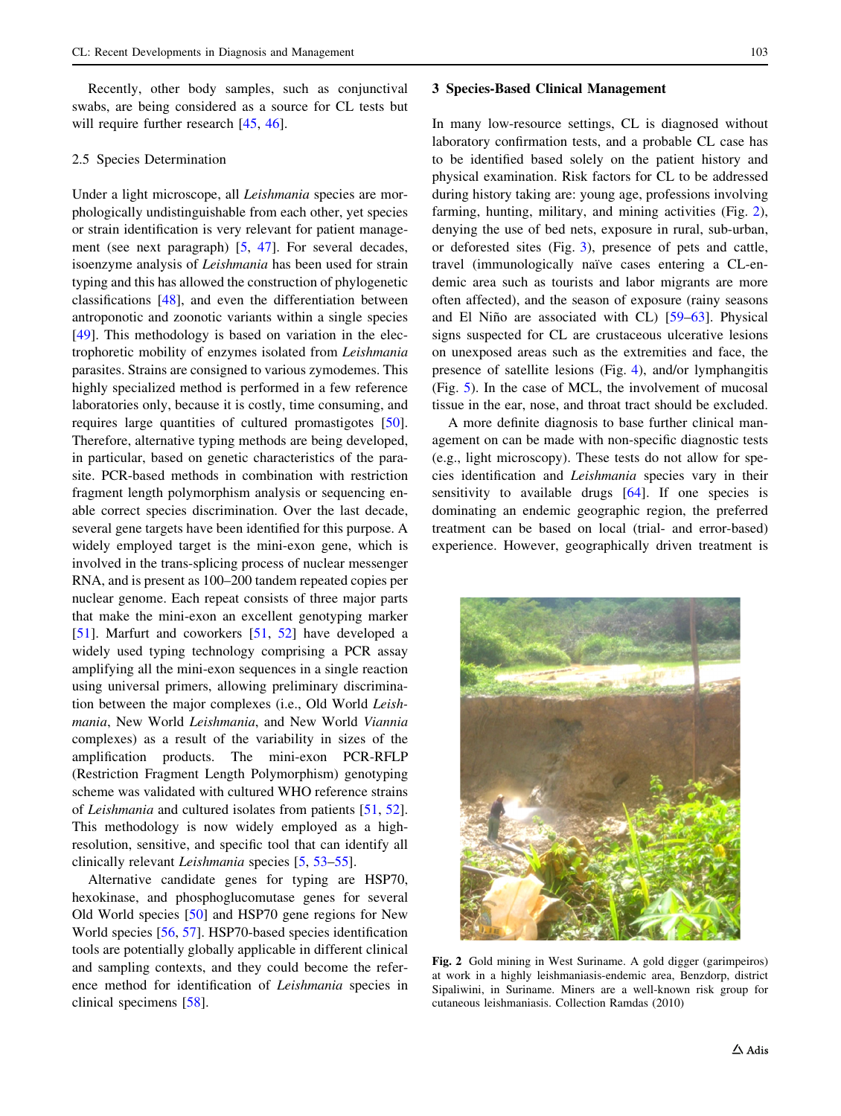Recently, other body samples, such as conjunctival swabs, are being considered as a source for CL tests but will require further research [\[45](#page-9-0), [46](#page-9-0)].

## 2.5 Species Determination

Under a light microscope, all Leishmania species are morphologically undistinguishable from each other, yet species or strain identification is very relevant for patient management (see next paragraph) [\[5](#page-7-0), [47\]](#page-9-0). For several decades, isoenzyme analysis of Leishmania has been used for strain typing and this has allowed the construction of phylogenetic classifications [[48\]](#page-9-0), and even the differentiation between antroponotic and zoonotic variants within a single species [\[49](#page-9-0)]. This methodology is based on variation in the electrophoretic mobility of enzymes isolated from Leishmania parasites. Strains are consigned to various zymodemes. This highly specialized method is performed in a few reference laboratories only, because it is costly, time consuming, and requires large quantities of cultured promastigotes [\[50](#page-9-0)]. Therefore, alternative typing methods are being developed, in particular, based on genetic characteristics of the parasite. PCR-based methods in combination with restriction fragment length polymorphism analysis or sequencing enable correct species discrimination. Over the last decade, several gene targets have been identified for this purpose. A widely employed target is the mini-exon gene, which is involved in the trans-splicing process of nuclear messenger RNA, and is present as 100–200 tandem repeated copies per nuclear genome. Each repeat consists of three major parts that make the mini-exon an excellent genotyping marker [\[51](#page-9-0)]. Marfurt and coworkers [[51,](#page-9-0) [52\]](#page-9-0) have developed a widely used typing technology comprising a PCR assay amplifying all the mini-exon sequences in a single reaction using universal primers, allowing preliminary discrimination between the major complexes (i.e., Old World Leishmania, New World Leishmania, and New World Viannia complexes) as a result of the variability in sizes of the amplification products. The mini-exon PCR-RFLP (Restriction Fragment Length Polymorphism) genotyping scheme was validated with cultured WHO reference strains of Leishmania and cultured isolates from patients [[51,](#page-9-0) [52](#page-9-0)]. This methodology is now widely employed as a highresolution, sensitive, and specific tool that can identify all clinically relevant Leishmania species [[5,](#page-7-0) [53–55](#page-9-0)].

Alternative candidate genes for typing are HSP70, hexokinase, and phosphoglucomutase genes for several Old World species [[50\]](#page-9-0) and HSP70 gene regions for New World species [\[56](#page-9-0), [57](#page-9-0)]. HSP70-based species identification tools are potentially globally applicable in different clinical and sampling contexts, and they could become the reference method for identification of Leishmania species in clinical specimens [\[58](#page-9-0)].

#### 3 Species-Based Clinical Management

In many low-resource settings, CL is diagnosed without laboratory confirmation tests, and a probable CL case has to be identified based solely on the patient history and physical examination. Risk factors for CL to be addressed during history taking are: young age, professions involving farming, hunting, military, and mining activities (Fig. 2), denying the use of bed nets, exposure in rural, sub-urban, or deforested sites (Fig. [3\)](#page-5-0), presence of pets and cattle, travel (immunologically naïve cases entering a CL-endemic area such as tourists and labor migrants are more often affected), and the season of exposure (rainy seasons and El Niño are associated with CL)  $[59-63]$ . Physical signs suspected for CL are crustaceous ulcerative lesions on unexposed areas such as the extremities and face, the presence of satellite lesions (Fig. [4](#page-5-0)), and/or lymphangitis (Fig. [5\)](#page-5-0). In the case of MCL, the involvement of mucosal tissue in the ear, nose, and throat tract should be excluded.

A more definite diagnosis to base further clinical management on can be made with non-specific diagnostic tests (e.g., light microscopy). These tests do not allow for species identification and Leishmania species vary in their sensitivity to available drugs [\[64](#page-9-0)]. If one species is dominating an endemic geographic region, the preferred treatment can be based on local (trial- and error-based) experience. However, geographically driven treatment is



Fig. 2 Gold mining in West Suriname. A gold digger (garimpeiros) at work in a highly leishmaniasis-endemic area, Benzdorp, district Sipaliwini, in Suriname. Miners are a well-known risk group for cutaneous leishmaniasis. Collection Ramdas (2010)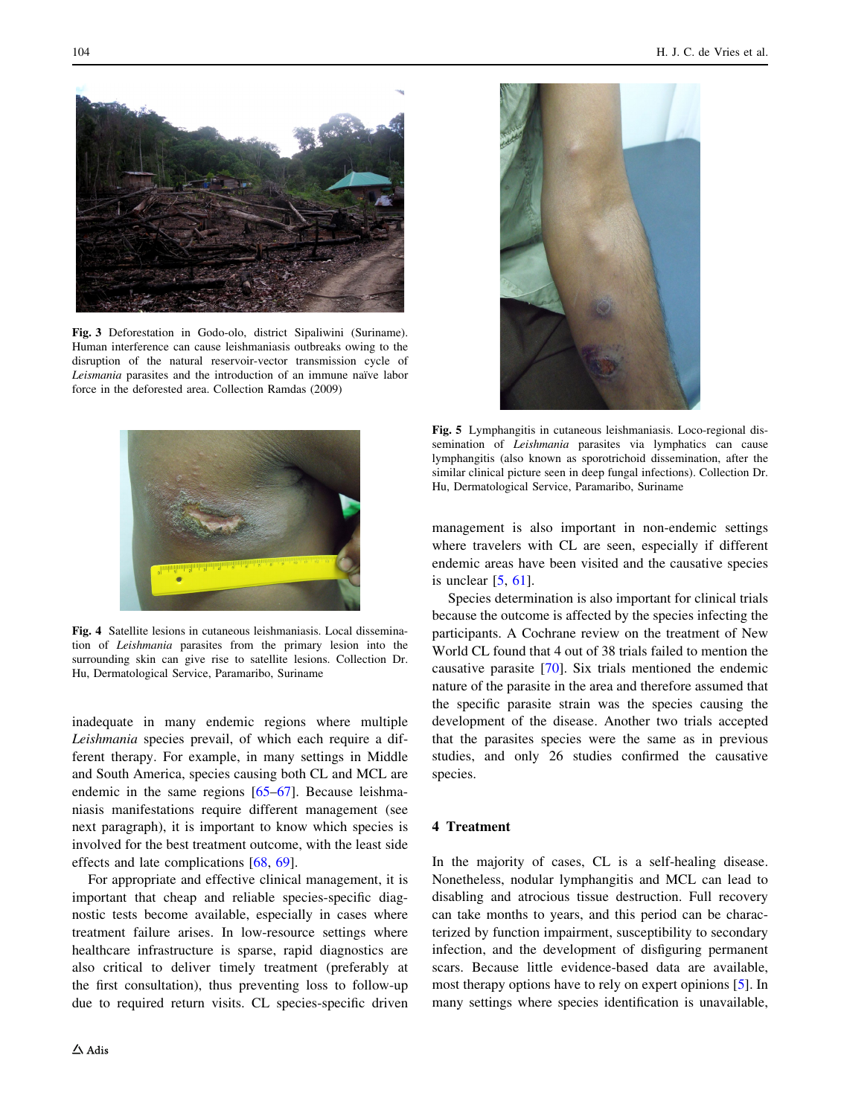<span id="page-5-0"></span>



Fig. 3 Deforestation in Godo-olo, district Sipaliwini (Suriname). Human interference can cause leishmaniasis outbreaks owing to the disruption of the natural reservoir-vector transmission cycle of Leismania parasites and the introduction of an immune naïve labor force in the deforested area. Collection Ramdas (2009)



Fig. 4 Satellite lesions in cutaneous leishmaniasis. Local dissemination of Leishmania parasites from the primary lesion into the surrounding skin can give rise to satellite lesions. Collection Dr. Hu, Dermatological Service, Paramaribo, Suriname

inadequate in many endemic regions where multiple Leishmania species prevail, of which each require a different therapy. For example, in many settings in Middle and South America, species causing both CL and MCL are endemic in the same regions [\[65–67](#page-9-0)]. Because leishmaniasis manifestations require different management (see next paragraph), it is important to know which species is involved for the best treatment outcome, with the least side effects and late complications [[68,](#page-9-0) [69](#page-10-0)].

For appropriate and effective clinical management, it is important that cheap and reliable species-specific diagnostic tests become available, especially in cases where treatment failure arises. In low-resource settings where healthcare infrastructure is sparse, rapid diagnostics are also critical to deliver timely treatment (preferably at the first consultation), thus preventing loss to follow-up due to required return visits. CL species-specific driven



Fig. 5 Lymphangitis in cutaneous leishmaniasis. Loco-regional dissemination of Leishmania parasites via lymphatics can cause lymphangitis (also known as sporotrichoid dissemination, after the similar clinical picture seen in deep fungal infections). Collection Dr. Hu, Dermatological Service, Paramaribo, Suriname

management is also important in non-endemic settings where travelers with CL are seen, especially if different endemic areas have been visited and the causative species is unclear [\[5](#page-7-0), [61](#page-9-0)].

Species determination is also important for clinical trials because the outcome is affected by the species infecting the participants. A Cochrane review on the treatment of New World CL found that 4 out of 38 trials failed to mention the causative parasite [\[70](#page-10-0)]. Six trials mentioned the endemic nature of the parasite in the area and therefore assumed that the specific parasite strain was the species causing the development of the disease. Another two trials accepted that the parasites species were the same as in previous studies, and only 26 studies confirmed the causative species.

## 4 Treatment

In the majority of cases, CL is a self-healing disease. Nonetheless, nodular lymphangitis and MCL can lead to disabling and atrocious tissue destruction. Full recovery can take months to years, and this period can be characterized by function impairment, susceptibility to secondary infection, and the development of disfiguring permanent scars. Because little evidence-based data are available, most therapy options have to rely on expert opinions [[5\]](#page-7-0). In many settings where species identification is unavailable,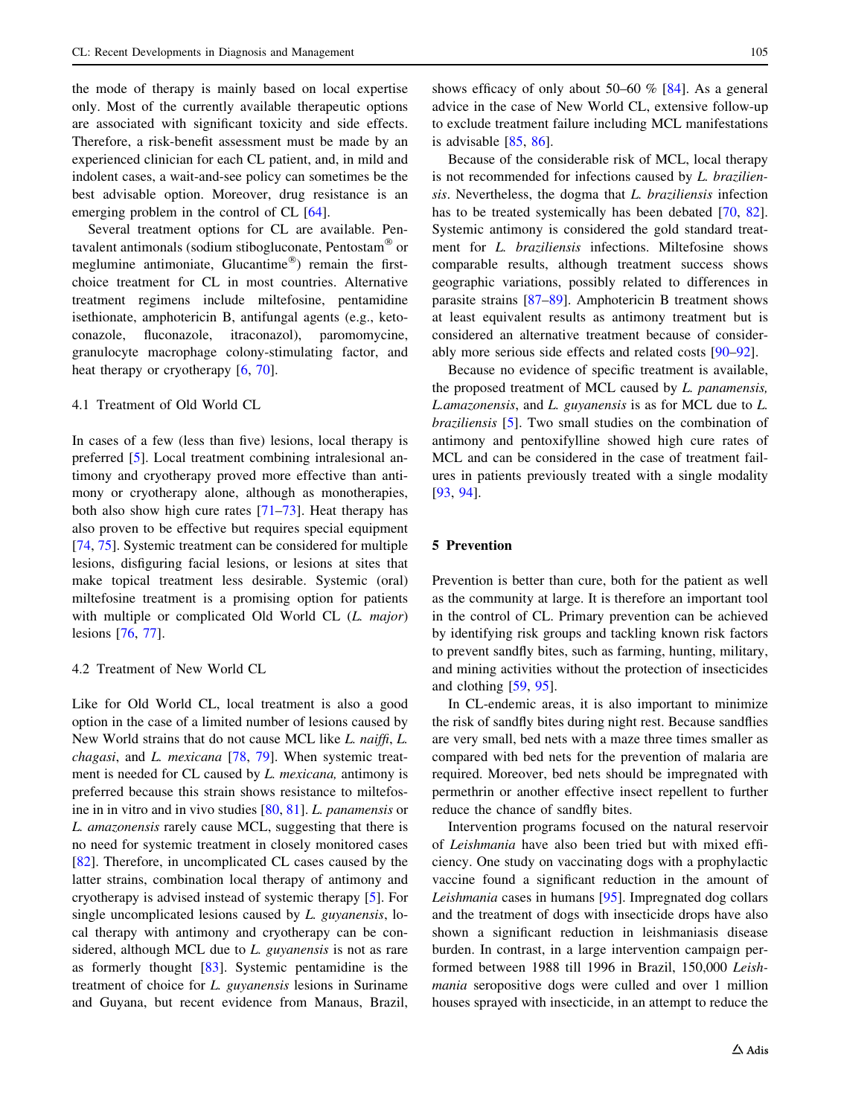the mode of therapy is mainly based on local expertise only. Most of the currently available therapeutic options are associated with significant toxicity and side effects. Therefore, a risk-benefit assessment must be made by an experienced clinician for each CL patient, and, in mild and indolent cases, a wait-and-see policy can sometimes be the best advisable option. Moreover, drug resistance is an emerging problem in the control of CL [\[64](#page-9-0)].

Several treatment options for CL are available. Pentavalent antimonals (sodium stibogluconate, Pentostam<sup>®</sup> or meglumine antimoniate. Glucantime<sup>®</sup>) remain the firstchoice treatment for CL in most countries. Alternative treatment regimens include miltefosine, pentamidine isethionate, amphotericin B, antifungal agents (e.g., ketoconazole, fluconazole, itraconazol), paromomycine, granulocyte macrophage colony-stimulating factor, and heat therapy or cryotherapy [[6,](#page-7-0) [70](#page-10-0)].

## 4.1 Treatment of Old World CL

In cases of a few (less than five) lesions, local therapy is preferred [[5\]](#page-7-0). Local treatment combining intralesional antimony and cryotherapy proved more effective than antimony or cryotherapy alone, although as monotherapies, both also show high cure rates [\[71–73](#page-10-0)]. Heat therapy has also proven to be effective but requires special equipment [\[74](#page-10-0), [75](#page-10-0)]. Systemic treatment can be considered for multiple lesions, disfiguring facial lesions, or lesions at sites that make topical treatment less desirable. Systemic (oral) miltefosine treatment is a promising option for patients with multiple or complicated Old World CL (L. major) lesions [\[76](#page-10-0), [77](#page-10-0)].

#### 4.2 Treatment of New World CL

Like for Old World CL, local treatment is also a good option in the case of a limited number of lesions caused by New World strains that do not cause MCL like L. naiffi, L. chagasi, and L. mexicana [[78,](#page-10-0) [79](#page-10-0)]. When systemic treatment is needed for CL caused by L. mexicana, antimony is preferred because this strain shows resistance to miltefosine in in vitro and in vivo studies [[80,](#page-10-0) [81\]](#page-10-0). L. panamensis or L. amazonensis rarely cause MCL, suggesting that there is no need for systemic treatment in closely monitored cases [\[82](#page-10-0)]. Therefore, in uncomplicated CL cases caused by the latter strains, combination local therapy of antimony and cryotherapy is advised instead of systemic therapy [[5\]](#page-7-0). For single uncomplicated lesions caused by L. guyanensis, local therapy with antimony and cryotherapy can be considered, although MCL due to L. guyanensis is not as rare as formerly thought [\[83](#page-10-0)]. Systemic pentamidine is the treatment of choice for L. guyanensis lesions in Suriname and Guyana, but recent evidence from Manaus, Brazil, shows efficacy of only about 50–60 % [[84\]](#page-10-0). As a general advice in the case of New World CL, extensive follow-up to exclude treatment failure including MCL manifestations is advisable [[85,](#page-10-0) [86](#page-10-0)].

Because of the considerable risk of MCL, local therapy is not recommended for infections caused by L. braziliensis. Nevertheless, the dogma that L. braziliensis infection has to be treated systemically has been debated [\[70](#page-10-0), [82](#page-10-0)]. Systemic antimony is considered the gold standard treatment for L. braziliensis infections. Miltefosine shows comparable results, although treatment success shows geographic variations, possibly related to differences in parasite strains [[87–89\]](#page-10-0). Amphotericin B treatment shows at least equivalent results as antimony treatment but is considered an alternative treatment because of considerably more serious side effects and related costs [[90–92\]](#page-10-0).

Because no evidence of specific treatment is available, the proposed treatment of MCL caused by L. panamensis, L.amazonensis, and L. guyanensis is as for MCL due to L. braziliensis [\[5](#page-7-0)]. Two small studies on the combination of antimony and pentoxifylline showed high cure rates of MCL and can be considered in the case of treatment failures in patients previously treated with a single modality [\[93](#page-10-0), [94](#page-10-0)].

## 5 Prevention

Prevention is better than cure, both for the patient as well as the community at large. It is therefore an important tool in the control of CL. Primary prevention can be achieved by identifying risk groups and tackling known risk factors to prevent sandfly bites, such as farming, hunting, military, and mining activities without the protection of insecticides and clothing [\[59](#page-9-0), [95](#page-10-0)].

In CL-endemic areas, it is also important to minimize the risk of sandfly bites during night rest. Because sandflies are very small, bed nets with a maze three times smaller as compared with bed nets for the prevention of malaria are required. Moreover, bed nets should be impregnated with permethrin or another effective insect repellent to further reduce the chance of sandfly bites.

Intervention programs focused on the natural reservoir of Leishmania have also been tried but with mixed efficiency. One study on vaccinating dogs with a prophylactic vaccine found a significant reduction in the amount of Leishmania cases in humans [[95](#page-10-0)]. Impregnated dog collars and the treatment of dogs with insecticide drops have also shown a significant reduction in leishmaniasis disease burden. In contrast, in a large intervention campaign performed between 1988 till 1996 in Brazil, 150,000 Leishmania seropositive dogs were culled and over 1 million houses sprayed with insecticide, in an attempt to reduce the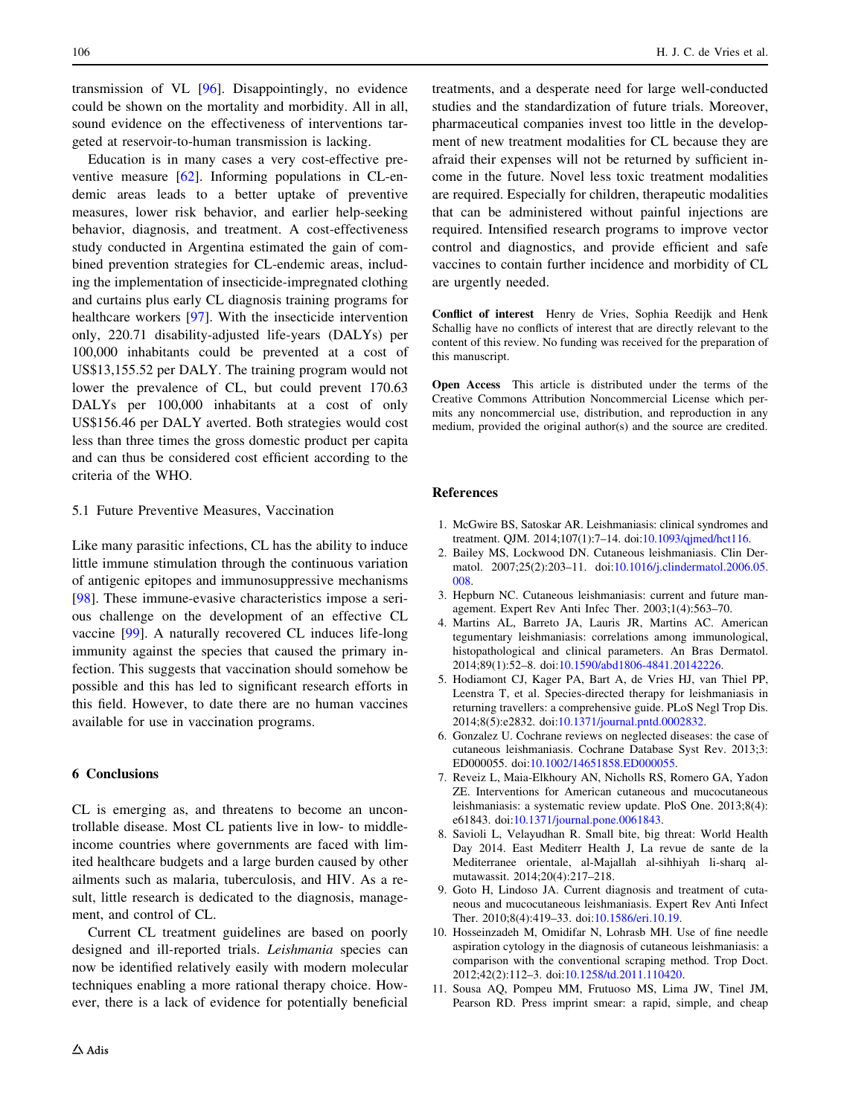<span id="page-7-0"></span>transmission of VL [[96\]](#page-10-0). Disappointingly, no evidence could be shown on the mortality and morbidity. All in all, sound evidence on the effectiveness of interventions targeted at reservoir-to-human transmission is lacking.

Education is in many cases a very cost-effective preventive measure [[62\]](#page-9-0). Informing populations in CL-endemic areas leads to a better uptake of preventive measures, lower risk behavior, and earlier help-seeking behavior, diagnosis, and treatment. A cost-effectiveness study conducted in Argentina estimated the gain of combined prevention strategies for CL-endemic areas, including the implementation of insecticide-impregnated clothing and curtains plus early CL diagnosis training programs for healthcare workers [\[97](#page-10-0)]. With the insecticide intervention only, 220.71 disability-adjusted life-years (DALYs) per 100,000 inhabitants could be prevented at a cost of US\$13,155.52 per DALY. The training program would not lower the prevalence of CL, but could prevent 170.63 DALYs per 100,000 inhabitants at a cost of only US\$156.46 per DALY averted. Both strategies would cost less than three times the gross domestic product per capita and can thus be considered cost efficient according to the criteria of the WHO.

## 5.1 Future Preventive Measures, Vaccination

Like many parasitic infections, CL has the ability to induce little immune stimulation through the continuous variation of antigenic epitopes and immunosuppressive mechanisms [\[98](#page-10-0)]. These immune-evasive characteristics impose a serious challenge on the development of an effective CL vaccine [\[99](#page-10-0)]. A naturally recovered CL induces life-long immunity against the species that caused the primary infection. This suggests that vaccination should somehow be possible and this has led to significant research efforts in this field. However, to date there are no human vaccines available for use in vaccination programs.

## 6 Conclusions

CL is emerging as, and threatens to become an uncontrollable disease. Most CL patients live in low- to middleincome countries where governments are faced with limited healthcare budgets and a large burden caused by other ailments such as malaria, tuberculosis, and HIV. As a result, little research is dedicated to the diagnosis, management, and control of CL.

Current CL treatment guidelines are based on poorly designed and ill-reported trials. Leishmania species can now be identified relatively easily with modern molecular techniques enabling a more rational therapy choice. However, there is a lack of evidence for potentially beneficial

treatments, and a desperate need for large well-conducted studies and the standardization of future trials. Moreover, pharmaceutical companies invest too little in the development of new treatment modalities for CL because they are afraid their expenses will not be returned by sufficient income in the future. Novel less toxic treatment modalities are required. Especially for children, therapeutic modalities that can be administered without painful injections are required. Intensified research programs to improve vector control and diagnostics, and provide efficient and safe vaccines to contain further incidence and morbidity of CL are urgently needed.

Conflict of interest Henry de Vries, Sophia Reedijk and Henk Schallig have no conflicts of interest that are directly relevant to the content of this review. No funding was received for the preparation of this manuscript.

Open Access This article is distributed under the terms of the Creative Commons Attribution Noncommercial License which permits any noncommercial use, distribution, and reproduction in any medium, provided the original author(s) and the source are credited.

## References

- 1. McGwire BS, Satoskar AR. Leishmaniasis: clinical syndromes and treatment. QJM. 2014;107(1):7–14. doi[:10.1093/qjmed/hct116](http://dx.doi.org/10.1093/qjmed/hct116).
- 2. Bailey MS, Lockwood DN. Cutaneous leishmaniasis. Clin Dermatol. 2007;25(2):203–11. doi[:10.1016/j.clindermatol.2006.05.](http://dx.doi.org/10.1016/j.clindermatol.2006.05.008) [008](http://dx.doi.org/10.1016/j.clindermatol.2006.05.008).
- 3. Hepburn NC. Cutaneous leishmaniasis: current and future management. Expert Rev Anti Infec Ther. 2003;1(4):563–70.
- 4. Martins AL, Barreto JA, Lauris JR, Martins AC. American tegumentary leishmaniasis: correlations among immunological, histopathological and clinical parameters. An Bras Dermatol. 2014;89(1):52–8. doi:[10.1590/abd1806-4841.20142226.](http://dx.doi.org/10.1590/abd1806-4841.20142226)
- 5. Hodiamont CJ, Kager PA, Bart A, de Vries HJ, van Thiel PP, Leenstra T, et al. Species-directed therapy for leishmaniasis in returning travellers: a comprehensive guide. PLoS Negl Trop Dis. 2014;8(5):e2832. doi[:10.1371/journal.pntd.0002832](http://dx.doi.org/10.1371/journal.pntd.0002832).
- 6. Gonzalez U. Cochrane reviews on neglected diseases: the case of cutaneous leishmaniasis. Cochrane Database Syst Rev. 2013;3: ED000055. doi:[10.1002/14651858.ED000055](http://dx.doi.org/10.1002/14651858.ED000055).
- 7. Reveiz L, Maia-Elkhoury AN, Nicholls RS, Romero GA, Yadon ZE. Interventions for American cutaneous and mucocutaneous leishmaniasis: a systematic review update. PloS One. 2013;8(4): e61843. doi:[10.1371/journal.pone.0061843](http://dx.doi.org/10.1371/journal.pone.0061843).
- 8. Savioli L, Velayudhan R. Small bite, big threat: World Health Day 2014. East Mediterr Health J, La revue de sante de la Mediterranee orientale, al-Majallah al-sihhiyah li-sharq almutawassit. 2014;20(4):217–218.
- 9. Goto H, Lindoso JA. Current diagnosis and treatment of cutaneous and mucocutaneous leishmaniasis. Expert Rev Anti Infect Ther. 2010;8(4):419–33. doi[:10.1586/eri.10.19](http://dx.doi.org/10.1586/eri.10.19).
- 10. Hosseinzadeh M, Omidifar N, Lohrasb MH. Use of fine needle aspiration cytology in the diagnosis of cutaneous leishmaniasis: a comparison with the conventional scraping method. Trop Doct. 2012;42(2):112–3. doi[:10.1258/td.2011.110420](http://dx.doi.org/10.1258/td.2011.110420).
- 11. Sousa AQ, Pompeu MM, Frutuoso MS, Lima JW, Tinel JM, Pearson RD. Press imprint smear: a rapid, simple, and cheap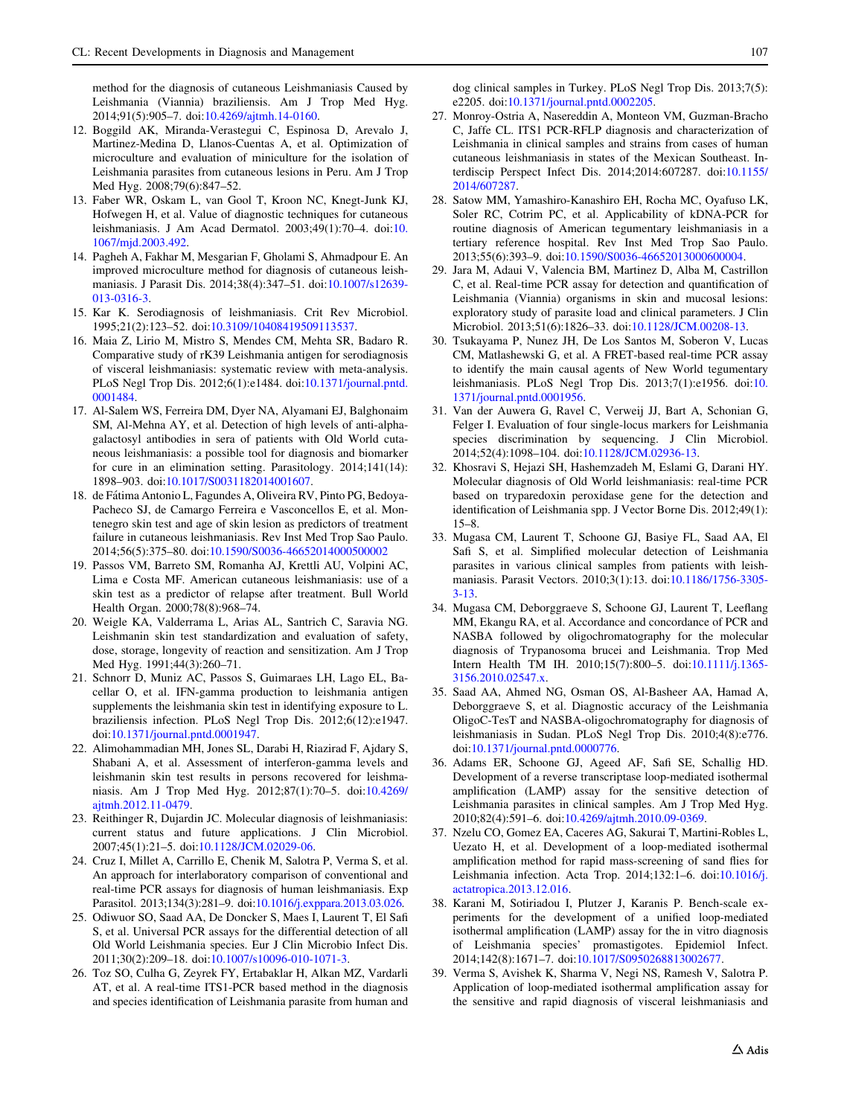<span id="page-8-0"></span>method for the diagnosis of cutaneous Leishmaniasis Caused by Leishmania (Viannia) braziliensis. Am J Trop Med Hyg. 2014;91(5):905–7. doi:[10.4269/ajtmh.14-0160.](http://dx.doi.org/10.4269/ajtmh.14-0160)

- 12. Boggild AK, Miranda-Verastegui C, Espinosa D, Arevalo J, Martinez-Medina D, Llanos-Cuentas A, et al. Optimization of microculture and evaluation of miniculture for the isolation of Leishmania parasites from cutaneous lesions in Peru. Am J Trop Med Hyg. 2008;79(6):847–52.
- 13. Faber WR, Oskam L, van Gool T, Kroon NC, Knegt-Junk KJ, Hofwegen H, et al. Value of diagnostic techniques for cutaneous leishmaniasis. J Am Acad Dermatol. 2003;49(1):70–4. doi:[10.](http://dx.doi.org/10.1067/mjd.2003.492) [1067/mjd.2003.492](http://dx.doi.org/10.1067/mjd.2003.492).
- 14. Pagheh A, Fakhar M, Mesgarian F, Gholami S, Ahmadpour E. An improved microculture method for diagnosis of cutaneous leishmaniasis. J Parasit Dis. 2014;38(4):347–51. doi:[10.1007/s12639-](http://dx.doi.org/10.1007/s12639-013-0316-3) [013-0316-3](http://dx.doi.org/10.1007/s12639-013-0316-3).
- 15. Kar K. Serodiagnosis of leishmaniasis. Crit Rev Microbiol. 1995;21(2):123–52. doi[:10.3109/10408419509113537](http://dx.doi.org/10.3109/10408419509113537).
- 16. Maia Z, Lirio M, Mistro S, Mendes CM, Mehta SR, Badaro R. Comparative study of rK39 Leishmania antigen for serodiagnosis of visceral leishmaniasis: systematic review with meta-analysis. PLoS Negl Trop Dis. 2012;6(1):e1484. doi:[10.1371/journal.pntd.](http://dx.doi.org/10.1371/journal.pntd.0001484) [0001484](http://dx.doi.org/10.1371/journal.pntd.0001484).
- 17. Al-Salem WS, Ferreira DM, Dyer NA, Alyamani EJ, Balghonaim SM, Al-Mehna AY, et al. Detection of high levels of anti-alphagalactosyl antibodies in sera of patients with Old World cutaneous leishmaniasis: a possible tool for diagnosis and biomarker for cure in an elimination setting. Parasitology. 2014;141(14): 1898–903. doi:[10.1017/S0031182014001607.](http://dx.doi.org/10.1017/S0031182014001607)
- 18. de Fátima Antonio L, Fagundes A, Oliveira RV, Pinto PG, Bedoya-Pacheco SJ, de Camargo Ferreira e Vasconcellos E, et al. Montenegro skin test and age of skin lesion as predictors of treatment failure in cutaneous leishmaniasis. Rev Inst Med Trop Sao Paulo. 2014;56(5):375–80. doi:[10.1590/S0036-46652014000500002](http://dx.doi.org/10.1590/S0036-46652014000500002)
- 19. Passos VM, Barreto SM, Romanha AJ, Krettli AU, Volpini AC, Lima e Costa MF. American cutaneous leishmaniasis: use of a skin test as a predictor of relapse after treatment. Bull World Health Organ. 2000;78(8):968–74.
- 20. Weigle KA, Valderrama L, Arias AL, Santrich C, Saravia NG. Leishmanin skin test standardization and evaluation of safety, dose, storage, longevity of reaction and sensitization. Am J Trop Med Hyg. 1991;44(3):260–71.
- 21. Schnorr D, Muniz AC, Passos S, Guimaraes LH, Lago EL, Bacellar O, et al. IFN-gamma production to leishmania antigen supplements the leishmania skin test in identifying exposure to L. braziliensis infection. PLoS Negl Trop Dis. 2012;6(12):e1947. doi:[10.1371/journal.pntd.0001947.](http://dx.doi.org/10.1371/journal.pntd.0001947)
- 22. Alimohammadian MH, Jones SL, Darabi H, Riazirad F, Ajdary S, Shabani A, et al. Assessment of interferon-gamma levels and leishmanin skin test results in persons recovered for leishmaniasis. Am J Trop Med Hyg. 2012;87(1):70–5. doi[:10.4269/](http://dx.doi.org/10.4269/ajtmh.2012.11-0479) [ajtmh.2012.11-0479](http://dx.doi.org/10.4269/ajtmh.2012.11-0479).
- 23. Reithinger R, Dujardin JC. Molecular diagnosis of leishmaniasis: current status and future applications. J Clin Microbiol. 2007;45(1):21–5. doi:[10.1128/JCM.02029-06.](http://dx.doi.org/10.1128/JCM.02029-06)
- 24. Cruz I, Millet A, Carrillo E, Chenik M, Salotra P, Verma S, et al. An approach for interlaboratory comparison of conventional and real-time PCR assays for diagnosis of human leishmaniasis. Exp Parasitol. 2013;134(3):281–9. doi[:10.1016/j.exppara.2013.03.026.](http://dx.doi.org/10.1016/j.exppara.2013.03.026)
- 25. Odiwuor SO, Saad AA, De Doncker S, Maes I, Laurent T, El Safi S, et al. Universal PCR assays for the differential detection of all Old World Leishmania species. Eur J Clin Microbio Infect Dis. 2011;30(2):209–18. doi[:10.1007/s10096-010-1071-3.](http://dx.doi.org/10.1007/s10096-010-1071-3)
- 26. Toz SO, Culha G, Zeyrek FY, Ertabaklar H, Alkan MZ, Vardarli AT, et al. A real-time ITS1-PCR based method in the diagnosis and species identification of Leishmania parasite from human and

dog clinical samples in Turkey. PLoS Negl Trop Dis. 2013;7(5): e2205. doi:[10.1371/journal.pntd.0002205.](http://dx.doi.org/10.1371/journal.pntd.0002205)

- 27. Monroy-Ostria A, Nasereddin A, Monteon VM, Guzman-Bracho C, Jaffe CL. ITS1 PCR-RFLP diagnosis and characterization of Leishmania in clinical samples and strains from cases of human cutaneous leishmaniasis in states of the Mexican Southeast. Interdiscip Perspect Infect Dis. 2014;2014:607287. doi[:10.1155/](http://dx.doi.org/10.1155/2014/607287) [2014/607287](http://dx.doi.org/10.1155/2014/607287).
- 28. Satow MM, Yamashiro-Kanashiro EH, Rocha MC, Oyafuso LK, Soler RC, Cotrim PC, et al. Applicability of kDNA-PCR for routine diagnosis of American tegumentary leishmaniasis in a tertiary reference hospital. Rev Inst Med Trop Sao Paulo. 2013;55(6):393–9. doi[:10.1590/S0036-46652013000600004](http://dx.doi.org/10.1590/S0036-46652013000600004).
- 29. Jara M, Adaui V, Valencia BM, Martinez D, Alba M, Castrillon C, et al. Real-time PCR assay for detection and quantification of Leishmania (Viannia) organisms in skin and mucosal lesions: exploratory study of parasite load and clinical parameters. J Clin Microbiol. 2013;51(6):1826–33. doi[:10.1128/JCM.00208-13](http://dx.doi.org/10.1128/JCM.00208-13).
- 30. Tsukayama P, Nunez JH, De Los Santos M, Soberon V, Lucas CM, Matlashewski G, et al. A FRET-based real-time PCR assay to identify the main causal agents of New World tegumentary leishmaniasis. PLoS Negl Trop Dis. 2013;7(1):e1956. doi:[10.](http://dx.doi.org/10.1371/journal.pntd.0001956) [1371/journal.pntd.0001956](http://dx.doi.org/10.1371/journal.pntd.0001956).
- 31. Van der Auwera G, Ravel C, Verweij JJ, Bart A, Schonian G, Felger I. Evaluation of four single-locus markers for Leishmania species discrimination by sequencing. J Clin Microbiol. 2014;52(4):1098–104. doi:[10.1128/JCM.02936-13.](http://dx.doi.org/10.1128/JCM.02936-13)
- 32. Khosravi S, Hejazi SH, Hashemzadeh M, Eslami G, Darani HY. Molecular diagnosis of Old World leishmaniasis: real-time PCR based on tryparedoxin peroxidase gene for the detection and identification of Leishmania spp. J Vector Borne Dis. 2012;49(1): 15–8.
- 33. Mugasa CM, Laurent T, Schoone GJ, Basiye FL, Saad AA, El Safi S, et al. Simplified molecular detection of Leishmania parasites in various clinical samples from patients with leishmaniasis. Parasit Vectors. 2010;3(1):13. doi:[10.1186/1756-3305-](http://dx.doi.org/10.1186/1756-3305-3-13) [3-13](http://dx.doi.org/10.1186/1756-3305-3-13).
- 34. Mugasa CM, Deborggraeve S, Schoone GJ, Laurent T, Leeflang MM, Ekangu RA, et al. Accordance and concordance of PCR and NASBA followed by oligochromatography for the molecular diagnosis of Trypanosoma brucei and Leishmania. Trop Med Intern Health TM IH. 2010;15(7):800–5. doi[:10.1111/j.1365-](http://dx.doi.org/10.1111/j.1365-3156.2010.02547.x) [3156.2010.02547.x](http://dx.doi.org/10.1111/j.1365-3156.2010.02547.x).
- 35. Saad AA, Ahmed NG, Osman OS, Al-Basheer AA, Hamad A, Deborggraeve S, et al. Diagnostic accuracy of the Leishmania OligoC-TesT and NASBA-oligochromatography for diagnosis of leishmaniasis in Sudan. PLoS Negl Trop Dis. 2010;4(8):e776. doi:[10.1371/journal.pntd.0000776.](http://dx.doi.org/10.1371/journal.pntd.0000776)
- 36. Adams ER, Schoone GJ, Ageed AF, Safi SE, Schallig HD. Development of a reverse transcriptase loop-mediated isothermal amplification (LAMP) assay for the sensitive detection of Leishmania parasites in clinical samples. Am J Trop Med Hyg. 2010;82(4):591–6. doi[:10.4269/ajtmh.2010.09-0369.](http://dx.doi.org/10.4269/ajtmh.2010.09-0369)
- 37. Nzelu CO, Gomez EA, Caceres AG, Sakurai T, Martini-Robles L, Uezato H, et al. Development of a loop-mediated isothermal amplification method for rapid mass-screening of sand flies for Leishmania infection. Acta Trop. 2014;132:1–6. doi:[10.1016/j.](http://dx.doi.org/10.1016/j.actatropica.2013.12.016) [actatropica.2013.12.016.](http://dx.doi.org/10.1016/j.actatropica.2013.12.016)
- 38. Karani M, Sotiriadou I, Plutzer J, Karanis P. Bench-scale experiments for the development of a unified loop-mediated isothermal amplification (LAMP) assay for the in vitro diagnosis of Leishmania species' promastigotes. Epidemiol Infect. 2014;142(8):1671–7. doi:[10.1017/S0950268813002677.](http://dx.doi.org/10.1017/S0950268813002677)
- 39. Verma S, Avishek K, Sharma V, Negi NS, Ramesh V, Salotra P. Application of loop-mediated isothermal amplification assay for the sensitive and rapid diagnosis of visceral leishmaniasis and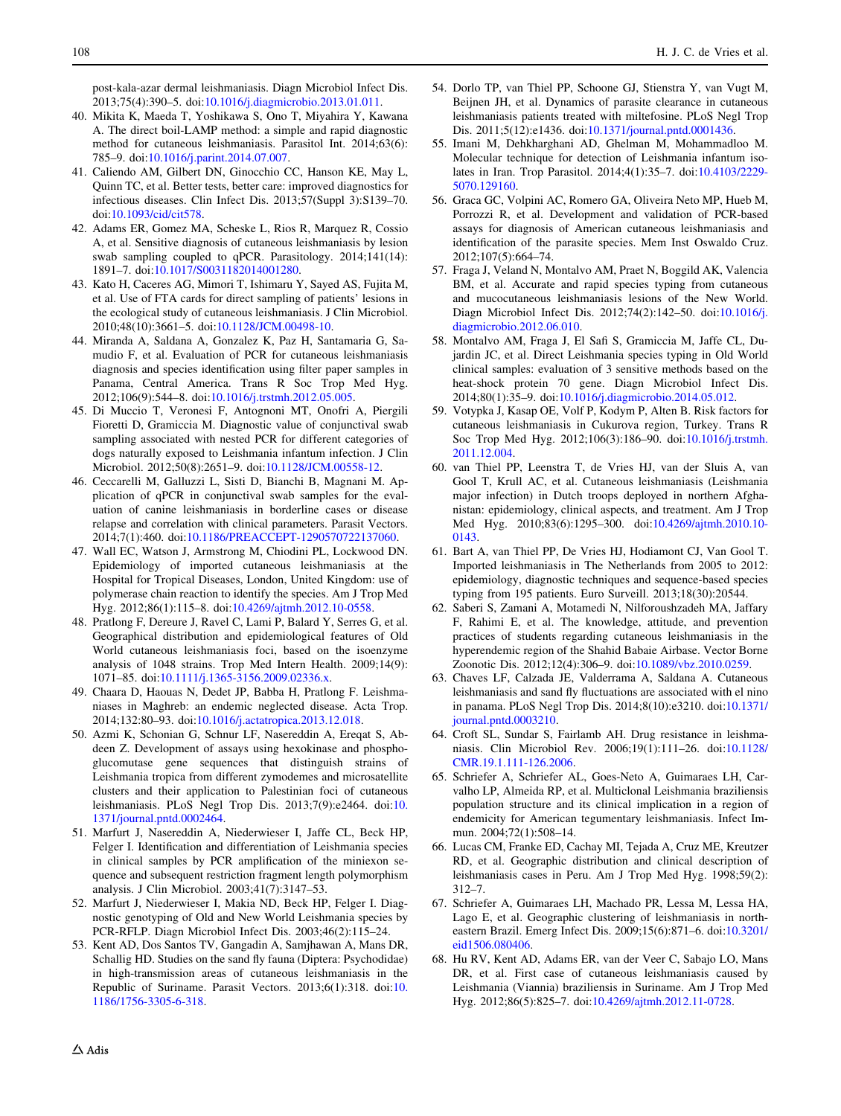<span id="page-9-0"></span>post-kala-azar dermal leishmaniasis. Diagn Microbiol Infect Dis. 2013;75(4):390–5. doi:[10.1016/j.diagmicrobio.2013.01.011](http://dx.doi.org/10.1016/j.diagmicrobio.2013.01.011).

- 40. Mikita K, Maeda T, Yoshikawa S, Ono T, Miyahira Y, Kawana A. The direct boil-LAMP method: a simple and rapid diagnostic method for cutaneous leishmaniasis. Parasitol Int. 2014;63(6): 785–9. doi:[10.1016/j.parint.2014.07.007.](http://dx.doi.org/10.1016/j.parint.2014.07.007)
- 41. Caliendo AM, Gilbert DN, Ginocchio CC, Hanson KE, May L, Quinn TC, et al. Better tests, better care: improved diagnostics for infectious diseases. Clin Infect Dis. 2013;57(Suppl 3):S139–70. doi:[10.1093/cid/cit578.](http://dx.doi.org/10.1093/cid/cit578)
- 42. Adams ER, Gomez MA, Scheske L, Rios R, Marquez R, Cossio A, et al. Sensitive diagnosis of cutaneous leishmaniasis by lesion swab sampling coupled to qPCR. Parasitology. 2014;141(14): 1891–7. doi[:10.1017/S0031182014001280.](http://dx.doi.org/10.1017/S0031182014001280)
- 43. Kato H, Caceres AG, Mimori T, Ishimaru Y, Sayed AS, Fujita M, et al. Use of FTA cards for direct sampling of patients' lesions in the ecological study of cutaneous leishmaniasis. J Clin Microbiol. 2010;48(10):3661–5. doi[:10.1128/JCM.00498-10](http://dx.doi.org/10.1128/JCM.00498-10).
- 44. Miranda A, Saldana A, Gonzalez K, Paz H, Santamaria G, Samudio F, et al. Evaluation of PCR for cutaneous leishmaniasis diagnosis and species identification using filter paper samples in Panama, Central America. Trans R Soc Trop Med Hyg. 2012;106(9):544–8. doi[:10.1016/j.trstmh.2012.05.005.](http://dx.doi.org/10.1016/j.trstmh.2012.05.005)
- 45. Di Muccio T, Veronesi F, Antognoni MT, Onofri A, Piergili Fioretti D, Gramiccia M. Diagnostic value of conjunctival swab sampling associated with nested PCR for different categories of dogs naturally exposed to Leishmania infantum infection. J Clin Microbiol. 2012;50(8):2651–9. doi[:10.1128/JCM.00558-12](http://dx.doi.org/10.1128/JCM.00558-12).
- 46. Ceccarelli M, Galluzzi L, Sisti D, Bianchi B, Magnani M. Application of qPCR in conjunctival swab samples for the evaluation of canine leishmaniasis in borderline cases or disease relapse and correlation with clinical parameters. Parasit Vectors. 2014;7(1):460. doi[:10.1186/PREACCEPT-1290570722137060.](http://dx.doi.org/10.1186/PREACCEPT-1290570722137060)
- 47. Wall EC, Watson J, Armstrong M, Chiodini PL, Lockwood DN. Epidemiology of imported cutaneous leishmaniasis at the Hospital for Tropical Diseases, London, United Kingdom: use of polymerase chain reaction to identify the species. Am J Trop Med Hyg. 2012;86(1):115–8. doi:[10.4269/ajtmh.2012.10-0558](http://dx.doi.org/10.4269/ajtmh.2012.10-0558).
- 48. Pratlong F, Dereure J, Ravel C, Lami P, Balard Y, Serres G, et al. Geographical distribution and epidemiological features of Old World cutaneous leishmaniasis foci, based on the isoenzyme analysis of 1048 strains. Trop Med Intern Health. 2009;14(9): 1071–85. doi[:10.1111/j.1365-3156.2009.02336.x](http://dx.doi.org/10.1111/j.1365-3156.2009.02336.x).
- 49. Chaara D, Haouas N, Dedet JP, Babba H, Pratlong F. Leishmaniases in Maghreb: an endemic neglected disease. Acta Trop. 2014;132:80–93. doi[:10.1016/j.actatropica.2013.12.018.](http://dx.doi.org/10.1016/j.actatropica.2013.12.018)
- 50. Azmi K, Schonian G, Schnur LF, Nasereddin A, Ereqat S, Abdeen Z. Development of assays using hexokinase and phosphoglucomutase gene sequences that distinguish strains of Leishmania tropica from different zymodemes and microsatellite clusters and their application to Palestinian foci of cutaneous leishmaniasis. PLoS Negl Trop Dis. 2013;7(9):e2464. doi:[10.](http://dx.doi.org/10.1371/journal.pntd.0002464) [1371/journal.pntd.0002464.](http://dx.doi.org/10.1371/journal.pntd.0002464)
- 51. Marfurt J, Nasereddin A, Niederwieser I, Jaffe CL, Beck HP, Felger I. Identification and differentiation of Leishmania species in clinical samples by PCR amplification of the miniexon sequence and subsequent restriction fragment length polymorphism analysis. J Clin Microbiol. 2003;41(7):3147–53.
- 52. Marfurt J, Niederwieser I, Makia ND, Beck HP, Felger I. Diagnostic genotyping of Old and New World Leishmania species by PCR-RFLP. Diagn Microbiol Infect Dis. 2003;46(2):115–24.
- 53. Kent AD, Dos Santos TV, Gangadin A, Samjhawan A, Mans DR, Schallig HD. Studies on the sand fly fauna (Diptera: Psychodidae) in high-transmission areas of cutaneous leishmaniasis in the Republic of Suriname. Parasit Vectors. 2013;6(1):318. doi:[10.](http://dx.doi.org/10.1186/1756-3305-6-318) [1186/1756-3305-6-318](http://dx.doi.org/10.1186/1756-3305-6-318).
- 54. Dorlo TP, van Thiel PP, Schoone GJ, Stienstra Y, van Vugt M, Beijnen JH, et al. Dynamics of parasite clearance in cutaneous leishmaniasis patients treated with miltefosine. PLoS Negl Trop Dis. 2011;5(12):e1436. doi[:10.1371/journal.pntd.0001436](http://dx.doi.org/10.1371/journal.pntd.0001436).
- 55. Imani M, Dehkharghani AD, Ghelman M, Mohammadloo M. Molecular technique for detection of Leishmania infantum isolates in Iran. Trop Parasitol. 2014;4(1):35–7. doi:[10.4103/2229-](http://dx.doi.org/10.4103/2229-5070.129160) [5070.129160](http://dx.doi.org/10.4103/2229-5070.129160).
- 56. Graca GC, Volpini AC, Romero GA, Oliveira Neto MP, Hueb M, Porrozzi R, et al. Development and validation of PCR-based assays for diagnosis of American cutaneous leishmaniasis and identification of the parasite species. Mem Inst Oswaldo Cruz. 2012;107(5):664–74.
- 57. Fraga J, Veland N, Montalvo AM, Praet N, Boggild AK, Valencia BM, et al. Accurate and rapid species typing from cutaneous and mucocutaneous leishmaniasis lesions of the New World. Diagn Microbiol Infect Dis. 2012;74(2):142–50. doi:[10.1016/j.](http://dx.doi.org/10.1016/j.diagmicrobio.2012.06.010) [diagmicrobio.2012.06.010.](http://dx.doi.org/10.1016/j.diagmicrobio.2012.06.010)
- 58. Montalvo AM, Fraga J, El Safi S, Gramiccia M, Jaffe CL, Dujardin JC, et al. Direct Leishmania species typing in Old World clinical samples: evaluation of 3 sensitive methods based on the heat-shock protein 70 gene. Diagn Microbiol Infect Dis. 2014;80(1):35–9. doi:[10.1016/j.diagmicrobio.2014.05.012](http://dx.doi.org/10.1016/j.diagmicrobio.2014.05.012).
- 59. Votypka J, Kasap OE, Volf P, Kodym P, Alten B. Risk factors for cutaneous leishmaniasis in Cukurova region, Turkey. Trans R Soc Trop Med Hyg. 2012;106(3):186–90. doi:[10.1016/j.trstmh.](http://dx.doi.org/10.1016/j.trstmh.2011.12.004) [2011.12.004](http://dx.doi.org/10.1016/j.trstmh.2011.12.004).
- 60. van Thiel PP, Leenstra T, de Vries HJ, van der Sluis A, van Gool T, Krull AC, et al. Cutaneous leishmaniasis (Leishmania major infection) in Dutch troops deployed in northern Afghanistan: epidemiology, clinical aspects, and treatment. Am J Trop Med Hyg. 2010;83(6):1295–300. doi[:10.4269/ajtmh.2010.10-](http://dx.doi.org/10.4269/ajtmh.2010.10-0143) [0143.](http://dx.doi.org/10.4269/ajtmh.2010.10-0143)
- 61. Bart A, van Thiel PP, De Vries HJ, Hodiamont CJ, Van Gool T. Imported leishmaniasis in The Netherlands from 2005 to 2012: epidemiology, diagnostic techniques and sequence-based species typing from 195 patients. Euro Surveill. 2013;18(30):20544.
- 62. Saberi S, Zamani A, Motamedi N, Nilforoushzadeh MA, Jaffary F, Rahimi E, et al. The knowledge, attitude, and prevention practices of students regarding cutaneous leishmaniasis in the hyperendemic region of the Shahid Babaie Airbase. Vector Borne Zoonotic Dis. 2012;12(4):306–9. doi[:10.1089/vbz.2010.0259.](http://dx.doi.org/10.1089/vbz.2010.0259)
- 63. Chaves LF, Calzada JE, Valderrama A, Saldana A. Cutaneous leishmaniasis and sand fly fluctuations are associated with el nino in panama. PLoS Negl Trop Dis. 2014;8(10):e3210. doi[:10.1371/](http://dx.doi.org/10.1371/journal.pntd.0003210) [journal.pntd.0003210.](http://dx.doi.org/10.1371/journal.pntd.0003210)
- 64. Croft SL, Sundar S, Fairlamb AH. Drug resistance in leishmaniasis. Clin Microbiol Rev. 2006;19(1):111–26. doi[:10.1128/](http://dx.doi.org/10.1128/CMR.19.1.111-126.2006) [CMR.19.1.111-126.2006.](http://dx.doi.org/10.1128/CMR.19.1.111-126.2006)
- 65. Schriefer A, Schriefer AL, Goes-Neto A, Guimaraes LH, Carvalho LP, Almeida RP, et al. Multiclonal Leishmania braziliensis population structure and its clinical implication in a region of endemicity for American tegumentary leishmaniasis. Infect Immun. 2004;72(1):508–14.
- 66. Lucas CM, Franke ED, Cachay MI, Tejada A, Cruz ME, Kreutzer RD, et al. Geographic distribution and clinical description of leishmaniasis cases in Peru. Am J Trop Med Hyg. 1998;59(2): 312–7.
- 67. Schriefer A, Guimaraes LH, Machado PR, Lessa M, Lessa HA, Lago E, et al. Geographic clustering of leishmaniasis in northeastern Brazil. Emerg Infect Dis. 2009;15(6):871–6. doi[:10.3201/](http://dx.doi.org/10.3201/eid1506.080406) [eid1506.080406.](http://dx.doi.org/10.3201/eid1506.080406)
- 68. Hu RV, Kent AD, Adams ER, van der Veer C, Sabajo LO, Mans DR, et al. First case of cutaneous leishmaniasis caused by Leishmania (Viannia) braziliensis in Suriname. Am J Trop Med Hyg. 2012;86(5):825–7. doi:[10.4269/ajtmh.2012.11-0728](http://dx.doi.org/10.4269/ajtmh.2012.11-0728).